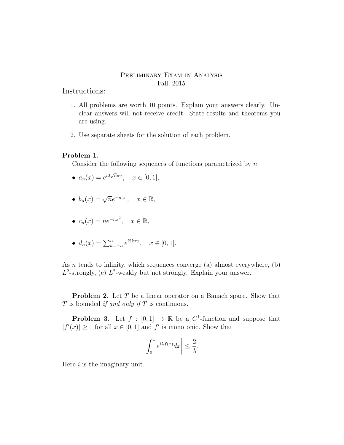## Preliminary Exam in Analysis Fall, 2015

Instructions:

- 1. All problems are worth 10 points. Explain your answers clearly. Unclear answers will not receive credit. State results and theorems you are using.
- 2. Use separate sheets for the solution of each problem.

## Problem 1.

Consider the following sequences of functions parametrized by  $n$ :

- $a_n(x) = e^{i2\sqrt{n}\pi x}, \quad x \in [0, 1],$
- $b_n(x) = \sqrt{n}e^{-n|x|}, \quad x \in \mathbb{R},$
- $c_n(x) = ne^{-nx^2}, \quad x \in \mathbb{R},$
- $d_n(x) = \sum_{k=-n}^{n} e^{i2k\pi x}, \quad x \in [0, 1].$

As *n* tends to infinity, which sequences converge (a) almost everywhere, (b)  $L^2$ -strongly, (c)  $L^2$ -weakly but not strongly. Explain your answer.

**Problem 2.** Let T be a linear operator on a Banach space. Show that  $T$  is bounded if and only if  $T$  is continuous.

**Problem 3.** Let  $f : [0,1] \to \mathbb{R}$  be a  $C^1$ -function and suppose that  $|f'(x)| \geq 1$  for all  $x \in [0,1]$  and  $f'$  is monotonic. Show that

$$
\left| \int_0^1 e^{i\lambda f(x)} dx \right| \leq \frac{2}{\lambda}.
$$

Here  $i$  is the imaginary unit.